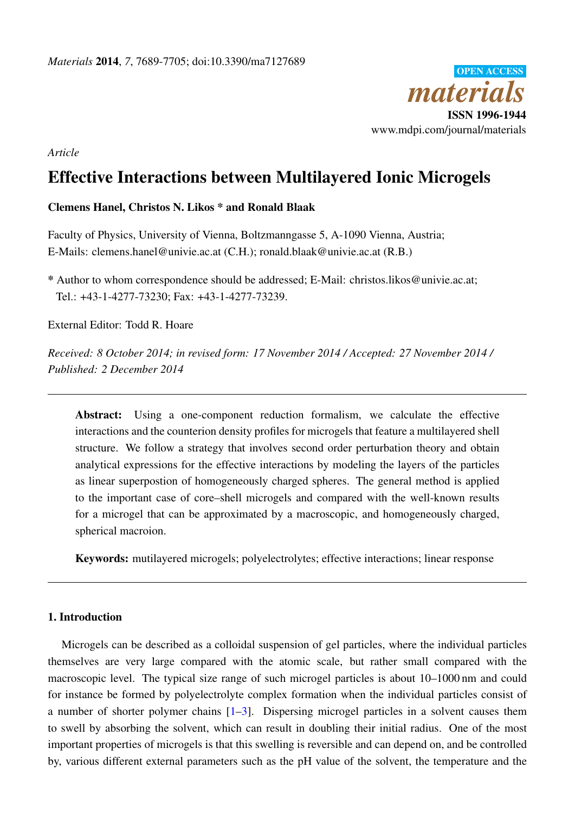

*Article*

# Effective Interactions between Multilayered Ionic Microgels

# Clemens Hanel, Christos N. Likos \* and Ronald Blaak

Faculty of Physics, University of Vienna, Boltzmanngasse 5, A-1090 Vienna, Austria; E-Mails: clemens.hanel@univie.ac.at (C.H.); ronald.blaak@univie.ac.at (R.B.)

\* Author to whom correspondence should be addressed; E-Mail: christos.likos@univie.ac.at; Tel.: +43-1-4277-73230; Fax: +43-1-4277-73239.

External Editor: Todd R. Hoare

*Received: 8 October 2014; in revised form: 17 November 2014 / Accepted: 27 November 2014 / Published: 2 December 2014*

Abstract: Using a one-component reduction formalism, we calculate the effective interactions and the counterion density profiles for microgels that feature a multilayered shell structure. We follow a strategy that involves second order perturbation theory and obtain analytical expressions for the effective interactions by modeling the layers of the particles as linear superpostion of homogeneously charged spheres. The general method is applied to the important case of core–shell microgels and compared with the well-known results for a microgel that can be approximated by a macroscopic, and homogeneously charged, spherical macroion.

Keywords: mutilayered microgels; polyelectrolytes; effective interactions; linear response

#### 1. Introduction

Microgels can be described as a colloidal suspension of gel particles, where the individual particles themselves are very large compared with the atomic scale, but rather small compared with the macroscopic level. The typical size range of such microgel particles is about 10–1000 nm and could for instance be formed by polyelectrolyte complex formation when the individual particles consist of a number of shorter polymer chains  $[1–3]$  $[1–3]$ . Dispersing microgel particles in a solvent causes them to swell by absorbing the solvent, which can result in doubling their initial radius. One of the most important properties of microgels is that this swelling is reversible and can depend on, and be controlled by, various different external parameters such as the pH value of the solvent, the temperature and the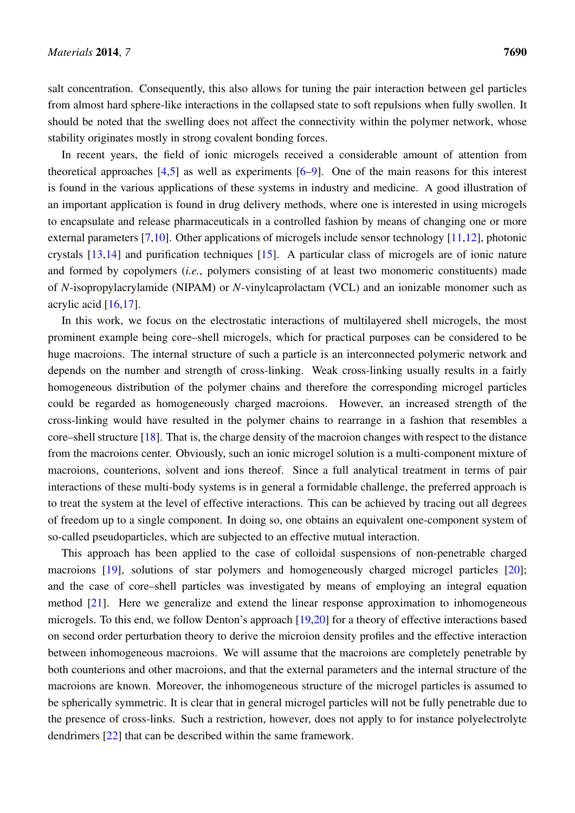salt concentration. Consequently, this also allows for tuning the pair interaction between gel particles from almost hard sphere-like interactions in the collapsed state to soft repulsions when fully swollen. It should be noted that the swelling does not affect the connectivity within the polymer network, whose stability originates mostly in strong covalent bonding forces.

In recent years, the field of ionic microgels received a considerable amount of attention from theoretical approaches  $[4,5]$  $[4,5]$  as well as experiments  $[6-9]$  $[6-9]$ . One of the main reasons for this interest is found in the various applications of these systems in industry and medicine. A good illustration of an important application is found in drug delivery methods, where one is interested in using microgels to encapsulate and release pharmaceuticals in a controlled fashion by means of changing one or more external parameters [\[7](#page-15-6)[,10\]](#page-15-7). Other applications of microgels include sensor technology [\[11,](#page-15-8)[12\]](#page-15-9), photonic crystals [\[13](#page-15-10)[,14\]](#page-15-11) and purification techniques [\[15\]](#page-16-0). A particular class of microgels are of ionic nature and formed by copolymers (*i.e.*, polymers consisting of at least two monomeric constituents) made of *N*-isopropylacrylamide (NIPAM) or *N*-vinylcaprolactam (VCL) and an ionizable monomer such as acrylic acid [\[16,](#page-16-1)[17\]](#page-16-2).

In this work, we focus on the electrostatic interactions of multilayered shell microgels, the most prominent example being core–shell microgels, which for practical purposes can be considered to be huge macroions. The internal structure of such a particle is an interconnected polymeric network and depends on the number and strength of cross-linking. Weak cross-linking usually results in a fairly homogeneous distribution of the polymer chains and therefore the corresponding microgel particles could be regarded as homogeneously charged macroions. However, an increased strength of the cross-linking would have resulted in the polymer chains to rearrange in a fashion that resembles a core–shell structure [\[18\]](#page-16-3). That is, the charge density of the macroion changes with respect to the distance from the macroions center. Obviously, such an ionic microgel solution is a multi-component mixture of macroions, counterions, solvent and ions thereof. Since a full analytical treatment in terms of pair interactions of these multi-body systems is in general a formidable challenge, the preferred approach is to treat the system at the level of effective interactions. This can be achieved by tracing out all degrees of freedom up to a single component. In doing so, one obtains an equivalent one-component system of so-called pseudoparticles, which are subjected to an effective mutual interaction.

This approach has been applied to the case of colloidal suspensions of non-penetrable charged macroions [\[19\]](#page-16-4), solutions of star polymers and homogeneously charged microgel particles [\[20\]](#page-16-5); and the case of core–shell particles was investigated by means of employing an integral equation method [\[21\]](#page-16-6). Here we generalize and extend the linear response approximation to inhomogeneous microgels. To this end, we follow Denton's approach [\[19](#page-16-4)[,20\]](#page-16-5) for a theory of effective interactions based on second order perturbation theory to derive the microion density profiles and the effective interaction between inhomogeneous macroions. We will assume that the macroions are completely penetrable by both counterions and other macroions, and that the external parameters and the internal structure of the macroions are known. Moreover, the inhomogeneous structure of the microgel particles is assumed to be spherically symmetric. It is clear that in general microgel particles will not be fully penetrable due to the presence of cross-links. Such a restriction, however, does not apply to for instance polyelectrolyte dendrimers [\[22\]](#page-16-7) that can be described within the same framework.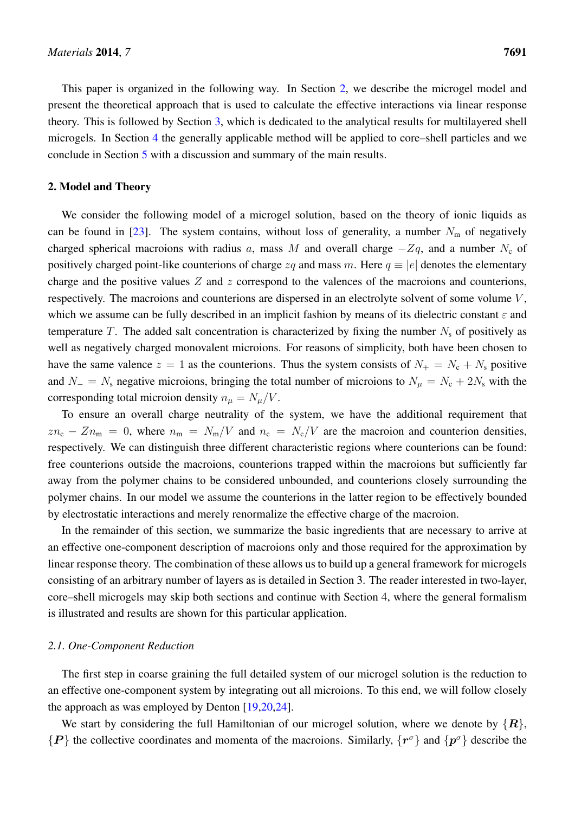This paper is organized in the following way. In Section [2,](#page-2-0) we describe the microgel model and present the theoretical approach that is used to calculate the effective interactions via linear response theory. This is followed by Section [3,](#page-7-0) which is dedicated to the analytical results for multilayered shell microgels. In Section [4](#page-11-0) the generally applicable method will be applied to core–shell particles and we conclude in Section [5](#page-14-0) with a discussion and summary of the main results.

#### <span id="page-2-0"></span>2. Model and Theory

We consider the following model of a microgel solution, based on the theory of ionic liquids as can be found in [\[23\]](#page-16-8). The system contains, without loss of generality, a number  $N<sub>m</sub>$  of negatively charged spherical macroions with radius a, mass M and overall charge  $-Zq$ , and a number  $N_c$  of positively charged point-like counterions of charge  $zq$  and mass m. Here  $q \equiv |e|$  denotes the elementary charge and the positive values  $Z$  and  $z$  correspond to the valences of the macroions and counterions, respectively. The macroions and counterions are dispersed in an electrolyte solvent of some volume  $V$ , which we assume can be fully described in an implicit fashion by means of its dielectric constant  $\varepsilon$  and temperature T. The added salt concentration is characterized by fixing the number  $N_s$  of positively as well as negatively charged monovalent microions. For reasons of simplicity, both have been chosen to have the same valence  $z = 1$  as the counterions. Thus the system consists of  $N_+ = N_c + N_s$  positive and  $N_ - = N_s$  negative microions, bringing the total number of microions to  $N_\mu = N_c + 2N_s$  with the corresponding total microion density  $n_{\mu} = N_{\mu}/V$ .

To ensure an overall charge neutrality of the system, we have the additional requirement that  $zn_c - Zn_m = 0$ , where  $n_m = N_m/V$  and  $n_c = N_c/V$  are the macroion and counterion densities, respectively. We can distinguish three different characteristic regions where counterions can be found: free counterions outside the macroions, counterions trapped within the macroions but sufficiently far away from the polymer chains to be considered unbounded, and counterions closely surrounding the polymer chains. In our model we assume the counterions in the latter region to be effectively bounded by electrostatic interactions and merely renormalize the effective charge of the macroion.

In the remainder of this section, we summarize the basic ingredients that are necessary to arrive at an effective one-component description of macroions only and those required for the approximation by linear response theory. The combination of these allows us to build up a general framework for microgels consisting of an arbitrary number of layers as is detailed in Section 3. The reader interested in two-layer, core–shell microgels may skip both sections and continue with Section 4, where the general formalism is illustrated and results are shown for this particular application.

#### *2.1. One-Component Reduction*

The first step in coarse graining the full detailed system of our microgel solution is the reduction to an effective one-component system by integrating out all microions. To this end, we will follow closely the approach as was employed by Denton [\[19](#page-16-4)[,20](#page-16-5)[,24\]](#page-16-9).

We start by considering the full Hamiltonian of our microgel solution, where we denote by  $\{R\}$ ,  ${P}$  the collective coordinates and momenta of the macroions. Similarly,  ${r^{\sigma}}$  and  ${p^{\sigma}}$  describe the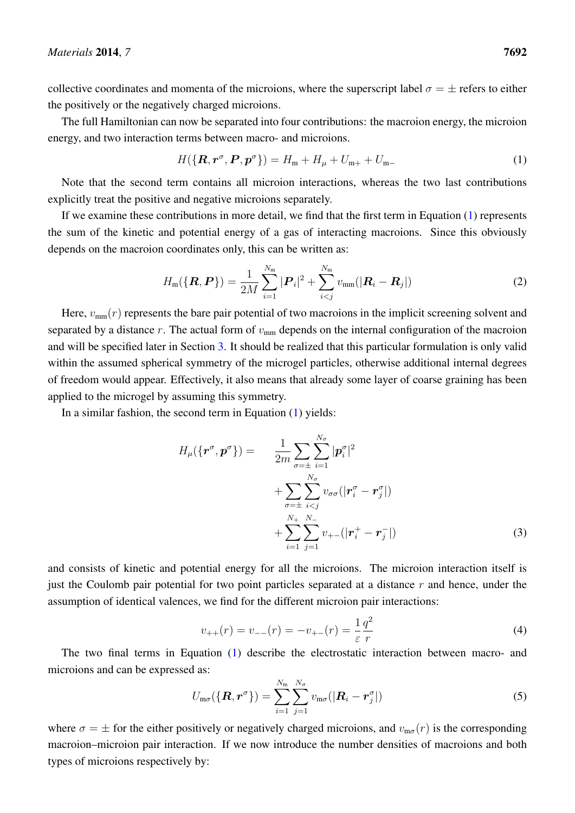collective coordinates and momenta of the microions, where the superscript label  $\sigma = \pm$  refers to either the positively or the negatively charged microions.

The full Hamiltonian can now be separated into four contributions: the macroion energy, the microion energy, and two interaction terms between macro- and microions.

<span id="page-3-0"></span>
$$
H(\{\mathbf{R}, \mathbf{r}^{\sigma}, \mathbf{P}, \mathbf{p}^{\sigma}\}) = H_{\rm m} + H_{\mu} + U_{\rm m+} + U_{\rm m-}
$$
 (1)

Note that the second term contains all microion interactions, whereas the two last contributions explicitly treat the positive and negative microions separately.

If we examine these contributions in more detail, we find that the first term in Equation [\(1\)](#page-3-0) represents the sum of the kinetic and potential energy of a gas of interacting macroions. Since this obviously depends on the macroion coordinates only, this can be written as:

$$
H_{\rm m}(\{\boldsymbol{R},\boldsymbol{P}\})=\frac{1}{2M}\sum_{i=1}^{N_{\rm m}}|\boldsymbol{P}_i|^2+\sum_{i(2)
$$

Here,  $v_{mm}(r)$  represents the bare pair potential of two macroions in the implicit screening solvent and separated by a distance r. The actual form of  $v_{\text{mm}}$  depends on the internal configuration of the macroion and will be specified later in Section [3.](#page-7-0) It should be realized that this particular formulation is only valid within the assumed spherical symmetry of the microgel particles, otherwise additional internal degrees of freedom would appear. Effectively, it also means that already some layer of coarse graining has been applied to the microgel by assuming this symmetry.

In a similar fashion, the second term in Equation [\(1\)](#page-3-0) yields:

$$
H_{\mu}(\lbrace \mathbf{r}^{\sigma}, \mathbf{p}^{\sigma} \rbrace) = \frac{1}{2m} \sum_{\sigma=\pm} \sum_{i=1}^{N_{\sigma}} |\mathbf{p}_{i}^{\sigma}|^{2} + \sum_{\sigma=\pm} \sum_{i(3)
$$

and consists of kinetic and potential energy for all the microions. The microion interaction itself is just the Coulomb pair potential for two point particles separated at a distance  $r$  and hence, under the assumption of identical valences, we find for the different microion pair interactions:

$$
v_{++}(r) = v_{--}(r) = -v_{+-}(r) = \frac{1}{\varepsilon} \frac{q^2}{r}
$$
 (4)

The two final terms in Equation [\(1\)](#page-3-0) describe the electrostatic interaction between macro- and microions and can be expressed as:

<span id="page-3-1"></span>
$$
U_{\mathbf{m}\sigma}(\{\boldsymbol{R},\boldsymbol{r}^{\sigma}\})=\sum_{i=1}^{N_{\mathbf{m}}}\sum_{j=1}^{N_{\sigma}}v_{\mathbf{m}\sigma}(|\boldsymbol{R}_{i}-\boldsymbol{r}^{\sigma}_{j}|)
$$
(5)

where  $\sigma = \pm$  for the either positively or negatively charged microions, and  $v_{\text{m}\sigma}(r)$  is the corresponding macroion–microion pair interaction. If we now introduce the number densities of macroions and both types of microions respectively by: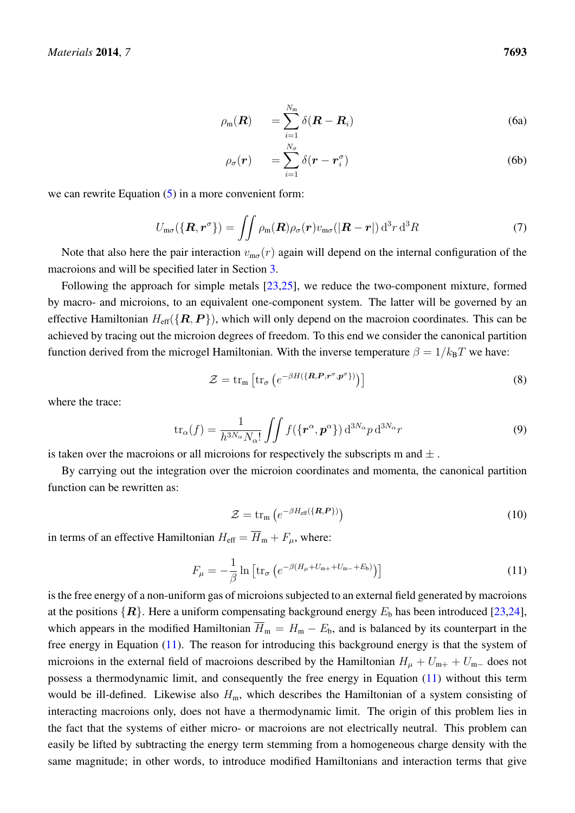$$
\rho_{\rm m}(\boldsymbol{R}) = \sum_{i=1}^{N_{\rm m}} \delta(\boldsymbol{R} - \boldsymbol{R}_i)
$$
\n(6a)

$$
\rho_{\sigma}(\mathbf{r}) = \sum_{i=1}^{N_{\sigma}} \delta(\mathbf{r} - \mathbf{r}_{i}^{\sigma})
$$
\n(6b)

<span id="page-4-1"></span>we can rewrite Equation [\(5\)](#page-3-1) in a more convenient form:

<span id="page-4-2"></span>
$$
U_{\mathbf{m}\sigma}(\{\boldsymbol{R},\boldsymbol{r}^{\sigma}\})=\iint \rho_{\mathbf{m}}(\boldsymbol{R})\rho_{\sigma}(\boldsymbol{r})v_{\mathbf{m}\sigma}(|\boldsymbol{R}-\boldsymbol{r}|)\,d^{3}r\,d^{3}R\tag{7}
$$

Note that also here the pair interaction  $v_{\text{mg}}(r)$  again will depend on the internal configuration of the macroions and will be specified later in Section [3.](#page-7-0)

Following the approach for simple metals [\[23,](#page-16-8)[25\]](#page-16-10), we reduce the two-component mixture, formed by macro- and microions, to an equivalent one-component system. The latter will be governed by an effective Hamiltonian  $H_{\text{eff}}(\lbrace \mathbf{R}, \mathbf{P} \rbrace)$ , which will only depend on the macroion coordinates. This can be achieved by tracing out the microion degrees of freedom. To this end we consider the canonical partition function derived from the microgel Hamiltonian. With the inverse temperature  $\beta = 1/k_B T$  we have:

$$
\mathcal{Z} = \operatorname{tr}_{\mathbf{m}} \left[ \operatorname{tr}_{\sigma} \left( e^{-\beta H(\{\mathbf{R}, \mathbf{P}, \mathbf{r}^{\sigma}, \mathbf{p}^{\sigma}\})} \right) \right]
$$
(8)

where the trace:

$$
\text{tr}_{\alpha}(f) = \frac{1}{h^{3N_{\alpha}} N_{\alpha}!} \iint f(\{\boldsymbol{r}^{\alpha}, \boldsymbol{p}^{\alpha}\}) \, \mathrm{d}^{3N_{\alpha}} p \, \mathrm{d}^{3N_{\alpha}} r \tag{9}
$$

is taken over the macroions or all microions for respectively the subscripts m and  $\pm$ .

By carrying out the integration over the microion coordinates and momenta, the canonical partition function can be rewritten as:

$$
\mathcal{Z} = \text{tr}_{\mathbf{m}} \left( e^{-\beta H_{\text{eff}}(\{\mathbf{R}, \mathbf{P}\})} \right) \tag{10}
$$

in terms of an effective Hamiltonian  $H_{\text{eff}} = \overline{H}_{\text{m}} + F_{\mu}$ , where:

<span id="page-4-0"></span>
$$
F_{\mu} = -\frac{1}{\beta} \ln \left[ \text{tr}_{\sigma} \left( e^{-\beta (H_{\mu} + U_{\text{m}+} + U_{\text{m}-} + E_{\text{b}})} \right) \right] \tag{11}
$$

is the free energy of a non-uniform gas of microions subjected to an external field generated by macroions at the positions  $\{R\}$ . Here a uniform compensating background energy  $E_b$  has been introduced [\[23,](#page-16-8)[24\]](#page-16-9), which appears in the modified Hamiltonian  $\overline{H}_{m} = H_{m} - E_{b}$ , and is balanced by its counterpart in the free energy in Equation [\(11\)](#page-4-0). The reason for introducing this background energy is that the system of microions in the external field of macroions described by the Hamiltonian  $H_{\mu} + U_{m+} + U_{m-}$  does not possess a thermodynamic limit, and consequently the free energy in Equation [\(11\)](#page-4-0) without this term would be ill-defined. Likewise also  $H<sub>m</sub>$ , which describes the Hamiltonian of a system consisting of interacting macroions only, does not have a thermodynamic limit. The origin of this problem lies in the fact that the systems of either micro- or macroions are not electrically neutral. This problem can easily be lifted by subtracting the energy term stemming from a homogeneous charge density with the same magnitude; in other words, to introduce modified Hamiltonians and interaction terms that give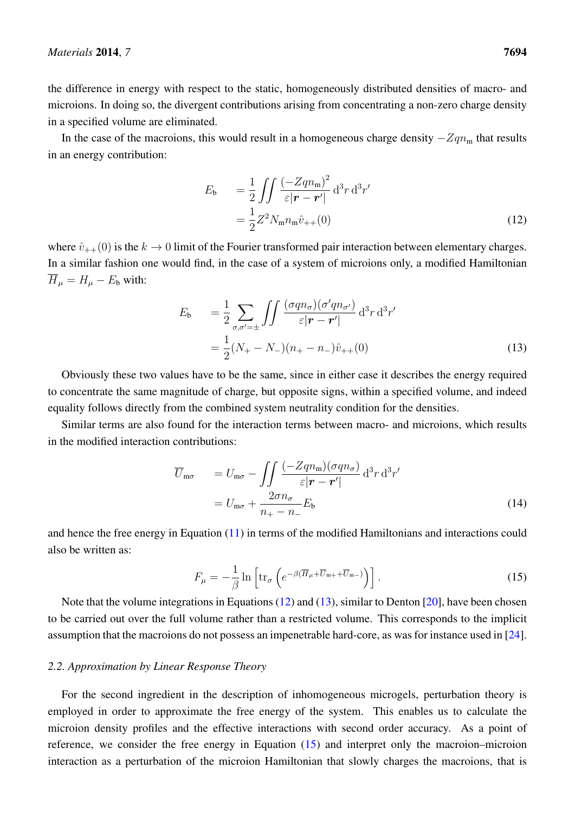the difference in energy with respect to the static, homogeneously distributed densities of macro- and microions. In doing so, the divergent contributions arising from concentrating a non-zero charge density in a specified volume are eliminated.

In the case of the macroions, this would result in a homogeneous charge density  $-Zqn<sub>m</sub>$  that results in an energy contribution:

<span id="page-5-0"></span>
$$
E_{\rm b} = \frac{1}{2} \iint \frac{(-Zqn_{\rm m})^2}{\varepsilon |\mathbf{r} - \mathbf{r}'|} d^3 r d^3 r'
$$
  
= 
$$
\frac{1}{2} Z^2 N_{\rm m} n_{\rm m} \hat{v}_{++}(0)
$$
(12)

where  $\hat{v}_{++}(0)$  is the  $k \to 0$  limit of the Fourier transformed pair interaction between elementary charges. In a similar fashion one would find, in the case of a system of microions only, a modified Hamiltonian  $\overline{H}_{\mu} = H_{\mu} - E_{\rm b}$  with:

<span id="page-5-1"></span>
$$
E_{\mathbf{b}} = \frac{1}{2} \sum_{\sigma,\sigma'=\pm} \int \int \frac{(\sigma q n_{\sigma})(\sigma' q n_{\sigma'})}{\varepsilon |\mathbf{r} - \mathbf{r'}|} d^3 r d^3 r'
$$
  
= 
$$
\frac{1}{2} (N_{+} - N_{-})(n_{+} - n_{-}) \hat{v}_{++}(0)
$$
(13)

Obviously these two values have to be the same, since in either case it describes the energy required to concentrate the same magnitude of charge, but opposite signs, within a specified volume, and indeed equality follows directly from the combined system neutrality condition for the densities.

Similar terms are also found for the interaction terms between macro- and microions, which results in the modified interaction contributions:

<span id="page-5-3"></span>
$$
\overline{U}_{\mathfrak{m}\sigma} = U_{\mathfrak{m}\sigma} - \iint \frac{(-Zqn_{\mathfrak{m}})(\sigma q n_{\sigma})}{\varepsilon |\mathbf{r} - \mathbf{r}'|} d^3 r d^3 r'
$$

$$
= U_{\mathfrak{m}\sigma} + \frac{2\sigma n_{\sigma}}{n_{+} - n_{-}} E_{\mathfrak{b}}
$$
(14)

and hence the free energy in Equation [\(11\)](#page-4-0) in terms of the modified Hamiltonians and interactions could also be written as:

<span id="page-5-2"></span>
$$
F_{\mu} = -\frac{1}{\beta} \ln \left[ \text{tr}_{\sigma} \left( e^{-\beta (\overline{H}_{\mu} + \overline{U}_{m+} + \overline{U}_{m-})} \right) \right]. \tag{15}
$$

Note that the volume integrations in Equations [\(12\)](#page-5-0) and [\(13\)](#page-5-1), similar to Denton [\[20\]](#page-16-5), have been chosen to be carried out over the full volume rather than a restricted volume. This corresponds to the implicit assumption that the macroions do not possess an impenetrable hard-core, as was for instance used in [\[24\]](#page-16-9).

#### *2.2. Approximation by Linear Response Theory*

For the second ingredient in the description of inhomogeneous microgels, perturbation theory is employed in order to approximate the free energy of the system. This enables us to calculate the microion density profiles and the effective interactions with second order accuracy. As a point of reference, we consider the free energy in Equation  $(15)$  and interpret only the macroion–microion interaction as a perturbation of the microion Hamiltonian that slowly charges the macroions, that is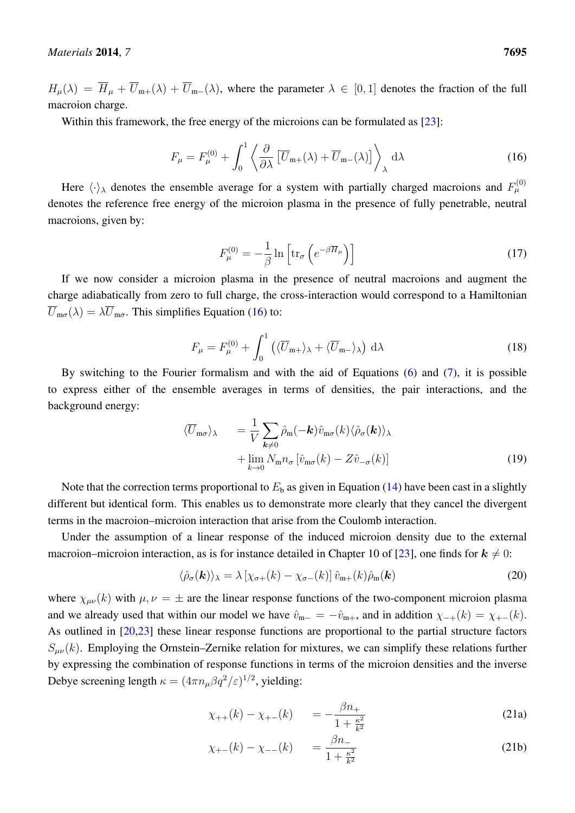$H_{\mu}(\lambda) = \overline{H}_{\mu} + \overline{U}_{m+}(\lambda) + \overline{U}_{m-}(\lambda)$ , where the parameter  $\lambda \in [0,1]$  denotes the fraction of the full macroion charge.

Within this framework, the free energy of the microions can be formulated as [\[23\]](#page-16-8):

<span id="page-6-0"></span>
$$
F_{\mu} = F_{\mu}^{(0)} + \int_0^1 \left\langle \frac{\partial}{\partial \lambda} \left[ \overline{U}_{m+}(\lambda) + \overline{U}_{m-}(\lambda) \right] \right\rangle_{\lambda} d\lambda \tag{16}
$$

Here  $\langle \cdot \rangle_{\lambda}$  denotes the ensemble average for a system with partially charged macroions and  $F_{\mu}^{(0)}$ denotes the reference free energy of the microion plasma in the presence of fully penetrable, neutral macroions, given by:

$$
F_{\mu}^{(0)} = -\frac{1}{\beta} \ln \left[ \text{tr}_{\sigma} \left( e^{-\beta \overline{H}_{\mu}} \right) \right]
$$
 (17)

If we now consider a microion plasma in the presence of neutral macroions and augment the charge adiabatically from zero to full charge, the cross-interaction would correspond to a Hamiltonian  $\overline{U}_{\text{mg}}(\lambda) = \lambda \overline{U}_{\text{mg}}$ . This simplifies Equation [\(16\)](#page-6-0) to:

<span id="page-6-1"></span>
$$
F_{\mu} = F_{\mu}^{(0)} + \int_{0}^{1} \left( \langle \overline{U}_{m+} \rangle_{\lambda} + \langle \overline{U}_{m-} \rangle_{\lambda} \right) d\lambda \tag{18}
$$

By switching to the Fourier formalism and with the aid of Equations [\(6\)](#page-4-1) and [\(7\)](#page-4-2), it is possible to express either of the ensemble averages in terms of densities, the pair interactions, and the background energy:

$$
\langle \overline{U}_{\mathfrak{m}\sigma} \rangle_{\lambda} = \frac{1}{V} \sum_{\mathbf{k} \neq 0} \hat{\rho}_{\mathfrak{m}}(-\mathbf{k}) \hat{v}_{\mathfrak{m}\sigma}(k) \langle \hat{\rho}_{\sigma}(\mathbf{k}) \rangle_{\lambda} \n+ \lim_{k \to 0} N_{\mathfrak{m}} n_{\sigma} [\hat{v}_{\mathfrak{m}\sigma}(k) - Z \hat{v}_{-\sigma}(k)]
$$
\n(19)

Note that the correction terms proportional to  $E<sub>b</sub>$  as given in Equation [\(14\)](#page-5-3) have been cast in a slightly different but identical form. This enables us to demonstrate more clearly that they cancel the divergent terms in the macroion–microion interaction that arise from the Coulomb interaction.

Under the assumption of a linear response of the induced microion density due to the external macroion–microion interaction, as is for instance detailed in Chapter 10 of [\[23\]](#page-16-8), one finds for  $k \neq 0$ :

<span id="page-6-3"></span>
$$
\langle \hat{\rho}_{\sigma}(\mathbf{k}) \rangle_{\lambda} = \lambda \left[ \chi_{\sigma+}(\mathbf{k}) - \chi_{\sigma-}(\mathbf{k}) \right] \hat{v}_{m+}(\mathbf{k}) \hat{\rho}_{m}(\mathbf{k}) \tag{20}
$$

<span id="page-6-2"></span>where  $\chi_{\mu\nu}(k)$  with  $\mu, \nu = \pm$  are the linear response functions of the two-component microion plasma and we already used that within our model we have  $\hat{v}_{m-} = -\hat{v}_{m+}$ , and in addition  $\chi_{-+}(k) = \chi_{+-}(k)$ . As outlined in [\[20,](#page-16-5)[23\]](#page-16-8) these linear response functions are proportional to the partial structure factors  $S_{\mu\nu}(k)$ . Employing the Ornstein–Zernike relation for mixtures, we can simplify these relations further by expressing the combination of response functions in terms of the microion densities and the inverse Debye screening length  $\kappa = (4\pi n_{\mu} \beta q^2/\varepsilon)^{1/2}$ , yielding:

$$
\chi_{++}(k) - \chi_{+-}(k) = -\frac{\beta n_+}{1 + \frac{\kappa^2}{k^2}} \tag{21a}
$$

$$
\chi_{+-}(k) - \chi_{--}(k) = \frac{\beta n_{-}}{1 + \frac{\kappa^2}{k^2}} \tag{21b}
$$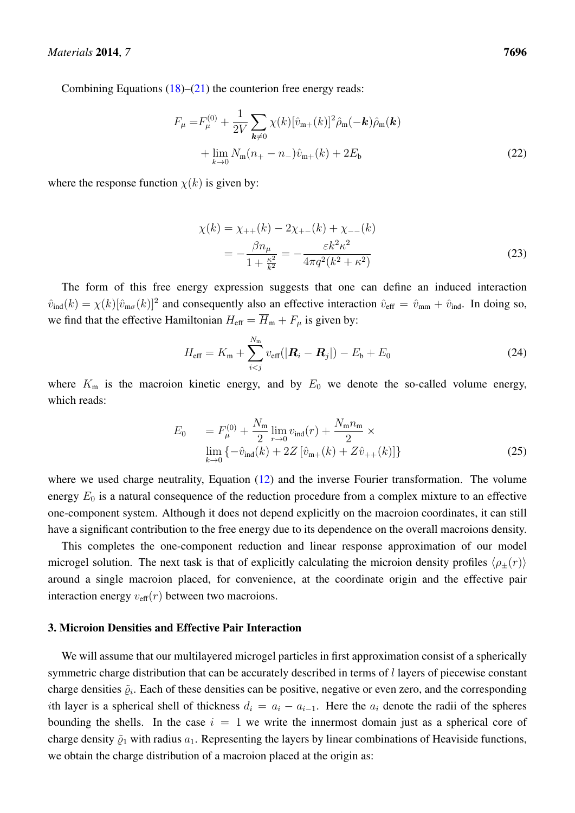Combining Equations  $(18)$ – $(21)$  the counterion free energy reads:

$$
F_{\mu} = F_{\mu}^{(0)} + \frac{1}{2V} \sum_{\mathbf{k} \neq 0} \chi(k) [\hat{v}_{m+}(k)]^2 \hat{\rho}_{m}(-\mathbf{k}) \hat{\rho}_{m}(\mathbf{k})
$$
  
+ 
$$
\lim_{k \to 0} N_{m}(n_{+} - n_{-}) \hat{v}_{m+}(k) + 2E_{b}
$$
 (22)

where the response function  $\chi(k)$  is given by:

<span id="page-7-1"></span>
$$
\chi(k) = \chi_{++}(k) - 2\chi_{+-}(k) + \chi_{--}(k)
$$
  
= 
$$
-\frac{\beta n_{\mu}}{1 + \frac{\kappa^2}{k^2}} = -\frac{\varepsilon k^2 \kappa^2}{4\pi q^2 (k^2 + \kappa^2)}
$$
 (23)

The form of this free energy expression suggests that one can define an induced interaction  $\hat{v}_{\text{ind}}(k) = \chi(k)[\hat{v}_{\text{m}\sigma}(k)]^2$  and consequently also an effective interaction  $\hat{v}_{\text{eff}} = \hat{v}_{\text{mm}} + \hat{v}_{\text{ind}}$ . In doing so, we find that the effective Hamiltonian  $H_{\text{eff}} = \overline{H}_{\text{m}} + F_{\mu}$  is given by:

$$
H_{\text{eff}} = K_{\text{m}} + \sum_{i < j}^{N_{\text{m}}} v_{\text{eff}} (|\boldsymbol{R}_i - \boldsymbol{R}_j|) - E_{\text{b}} + E_0 \tag{24}
$$

where  $K<sub>m</sub>$  is the macroion kinetic energy, and by  $E<sub>0</sub>$  we denote the so-called volume energy, which reads:

$$
E_0 = F_{\mu}^{(0)} + \frac{N_{\rm m}}{2} \lim_{r \to 0} v_{\rm ind}(r) + \frac{N_{\rm m} n_{\rm m}}{2} \times \lim_{k \to 0} \{-\hat{v}_{\rm ind}(k) + 2Z \left[\hat{v}_{\rm m+}(k) + Z\hat{v}_{++}(k)\right]\}
$$
(25)

where we used charge neutrality, Equation [\(12\)](#page-5-0) and the inverse Fourier transformation. The volume energy  $E_0$  is a natural consequence of the reduction procedure from a complex mixture to an effective one-component system. Although it does not depend explicitly on the macroion coordinates, it can still have a significant contribution to the free energy due to its dependence on the overall macroions density.

This completes the one-component reduction and linear response approximation of our model microgel solution. The next task is that of explicitly calculating the microion density profiles  $\langle \rho_{\pm}(r) \rangle$ around a single macroion placed, for convenience, at the coordinate origin and the effective pair interaction energy  $v_{\text{eff}}(r)$  between two macroions.

#### <span id="page-7-0"></span>3. Microion Densities and Effective Pair Interaction

We will assume that our multilayered microgel particles in first approximation consist of a spherically symmetric charge distribution that can be accurately described in terms of l layers of piecewise constant charge densities  $\tilde{\varrho}_i$ . Each of these densities can be positive, negative or even zero, and the corresponding ith layer is a spherical shell of thickness  $d_i = a_i - a_{i-1}$ . Here the  $a_i$  denote the radii of the spheres bounding the shells. In the case  $i = 1$  we write the innermost domain just as a spherical core of charge density  $\tilde{\varrho}_1$  with radius  $a_1$ . Representing the layers by linear combinations of Heaviside functions, we obtain the charge distribution of a macroion placed at the origin as: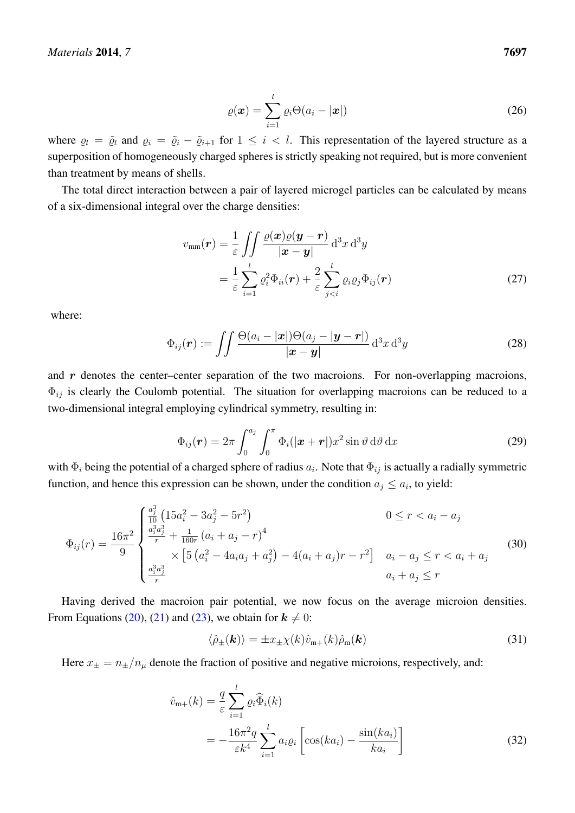<span id="page-8-3"></span>
$$
\varrho(\boldsymbol{x}) = \sum_{i=1}^{l} \varrho_i \Theta(a_i - |\boldsymbol{x}|) \tag{26}
$$

where  $\varrho_l = \tilde{\varrho}_l$  and  $\varrho_i = \tilde{\varrho}_i - \tilde{\varrho}_{i+1}$  for  $1 \leq i < l$ . This representation of the layered structure as a superposition of homogeneously charged spheres is strictly speaking not required, but is more convenient than treatment by means of shells.

The total direct interaction between a pair of layered microgel particles can be calculated by means of a six-dimensional integral over the charge densities:

$$
v_{\text{mm}}(\boldsymbol{r}) = \frac{1}{\varepsilon} \iint \frac{\varrho(\boldsymbol{x})\varrho(\boldsymbol{y} - \boldsymbol{r})}{|\boldsymbol{x} - \boldsymbol{y}|} d^3 x d^3 y
$$
  
= 
$$
\frac{1}{\varepsilon} \sum_{i=1}^{l} \varrho_i^2 \Phi_{ii}(\boldsymbol{r}) + \frac{2}{\varepsilon} \sum_{j(27)
$$

where:

$$
\Phi_{ij}(\boldsymbol{r}) := \iint \frac{\Theta(a_i - |\boldsymbol{x}|) \Theta(a_j - |\boldsymbol{y} - \boldsymbol{r}|)}{|\boldsymbol{x} - \boldsymbol{y}|} d^3 x d^3 y \qquad (28)
$$

and  $r$  denotes the center–center separation of the two macroions. For non-overlapping macroions,  $\Phi_{ij}$  is clearly the Coulomb potential. The situation for overlapping macroions can be reduced to a two-dimensional integral employing cylindrical symmetry, resulting in:

$$
\Phi_{ij}(\boldsymbol{r}) = 2\pi \int_0^{a_j} \int_0^{\pi} \Phi_i(|\boldsymbol{x} + \boldsymbol{r}|) x^2 \sin \vartheta \, d\vartheta \, dx \tag{29}
$$

with  $\Phi_i$  being the potential of a charged sphere of radius  $a_i$ . Note that  $\Phi_{ij}$  is actually a radially symmetric function, and hence this expression can be shown, under the condition  $a_j \leq a_i$ , to yield:

<span id="page-8-2"></span>
$$
\Phi_{ij}(r) = \frac{16\pi^2}{9} \begin{cases} \frac{a_j^3}{10} \left( 15a_i^2 - 3a_j^2 - 5r^2 \right) & 0 \le r < a_i - a_j\\ \frac{a_i^3 a_j^3}{r} + \frac{1}{160r} \left( a_i + a_j - r \right)^4\\ \times \left[ 5 \left( a_i^2 - 4a_i a_j + a_j^2 \right) - 4(a_i + a_j)r - r^2 \right] & a_i - a_j \le r < a_i + a_j\\ \frac{a_i^3 a_j^3}{r} & a_i + a_j \le r \end{cases} \tag{30}
$$

Having derived the macroion pair potential, we now focus on the average microion densities. From Equations [\(20\)](#page-6-3), [\(21\)](#page-6-2) and [\(23\)](#page-7-1), we obtain for  $k \neq 0$ :

<span id="page-8-1"></span><span id="page-8-0"></span>
$$
\langle \hat{\rho}_{\pm}(\mathbf{k}) \rangle = \pm x_{\pm} \chi(k) \hat{v}_{m+}(k) \hat{\rho}_{m}(\mathbf{k}) \tag{31}
$$

Here  $x_{\pm} = n_{\pm}/n_{\mu}$  denote the fraction of positive and negative microions, respectively, and:

$$
\hat{v}_{m+}(k) = \frac{q}{\varepsilon} \sum_{i=1}^{l} \varrho_i \widehat{\Phi}_i(k)
$$
\n
$$
= -\frac{16\pi^2 q}{\varepsilon k^4} \sum_{i=1}^{l} a_i \varrho_i \left[ \cos(ka_i) - \frac{\sin(ka_i)}{ka_i} \right]
$$
\n(32)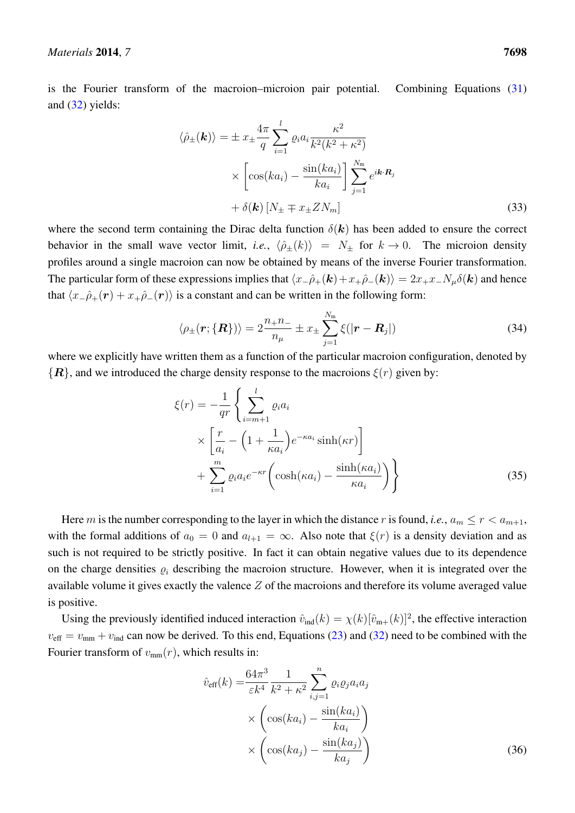is the Fourier transform of the macroion–microion pair potential. Combining Equations [\(31\)](#page-8-0) and [\(32\)](#page-8-1) yields:

$$
\langle \hat{\rho}_{\pm}(\boldsymbol{k}) \rangle = \pm x_{\pm} \frac{4\pi}{q} \sum_{i=1}^{l} \varrho_{i} a_{i} \frac{\kappa^{2}}{k^{2}(k^{2} + \kappa^{2})}
$$

$$
\times \left[ \cos(ka_{i}) - \frac{\sin(ka_{i})}{ka_{i}} \right] \sum_{j=1}^{N_{\text{m}}} e^{i\boldsymbol{k} \cdot \boldsymbol{R}_{j}}
$$

$$
+ \delta(\boldsymbol{k}) \left[ N_{\pm} \mp x_{\pm} Z N_{m} \right]
$$
(33)

where the second term containing the Dirac delta function  $\delta(\mathbf{k})$  has been added to ensure the correct behavior in the small wave vector limit, *i.e.*,  $\langle \hat{\rho}_{\pm}(k) \rangle = N_{\pm}$  for  $k \to 0$ . The microion density profiles around a single macroion can now be obtained by means of the inverse Fourier transformation. The particular form of these expressions implies that  $\langle x_-\hat{\rho}_+(\mathbf{k})+x_+\hat{\rho}_-(\mathbf{k})\rangle = 2x_+x_-N_u\delta(\mathbf{k})$  and hence that  $\langle x_-\hat{\rho}_+({\bf r}) + x_+\hat{\rho}_-({\bf r})\rangle$  is a constant and can be written in the following form:

$$
\langle \rho_{\pm}(\mathbf{r}; \{\mathbf{R}\}) \rangle = 2 \frac{n_{+}n_{-}}{n_{\mu}} \pm x_{\pm} \sum_{j=1}^{N_{\rm m}} \xi(|\mathbf{r} - \mathbf{R}_{j}|) \tag{34}
$$

where we explicitly have written them as a function of the particular macroion configuration, denoted by  ${R}$ , and we introduced the charge density response to the macroions  $\xi(r)$  given by:

$$
\xi(r) = -\frac{1}{qr} \left\{ \sum_{i=m+1}^{l} \varrho_i a_i \right. \n\times \left[ \frac{r}{a_i} - \left( 1 + \frac{1}{\kappa a_i} \right) e^{-\kappa a_i} \sinh(\kappa r) \right] \n+ \sum_{i=1}^{m} \varrho_i a_i e^{-\kappa r} \left( \cosh(\kappa a_i) - \frac{\sinh(\kappa a_i)}{\kappa a_i} \right) \right\}
$$
\n(35)

Here m is the number corresponding to the layer in which the distance r is found, *i.e.*,  $a_m \le r < a_{m+1}$ , with the formal additions of  $a_0 = 0$  and  $a_{l+1} = \infty$ . Also note that  $\xi(r)$  is a density deviation and as such is not required to be strictly positive. In fact it can obtain negative values due to its dependence on the charge densities  $\rho_i$  describing the macroion structure. However, when it is integrated over the available volume it gives exactly the valence Z of the macroions and therefore its volume averaged value is positive.

Using the previously identified induced interaction  $\hat{v}_{\text{ind}}(k) = \chi(k)[\hat{v}_{\text{m}+}(k)]^2$ , the effective interaction  $v_{\text{eff}} = v_{\text{mm}} + v_{\text{ind}}$  can now be derived. To this end, Equations [\(23\)](#page-7-1) and [\(32\)](#page-8-1) need to be combined with the Fourier transform of  $v_{mm}(r)$ , which results in:

$$
\hat{v}_{\text{eff}}(k) = \frac{64\pi^3}{\varepsilon k^4} \frac{1}{k^2 + \kappa^2} \sum_{i,j=1}^n \varrho_i \varrho_j a_i a_j
$$
\n
$$
\times \left( \cos(ka_i) - \frac{\sin(ka_i)}{ka_i} \right)
$$
\n
$$
\times \left( \cos(ka_j) - \frac{\sin(ka_j)}{ka_j} \right)
$$
\n(36)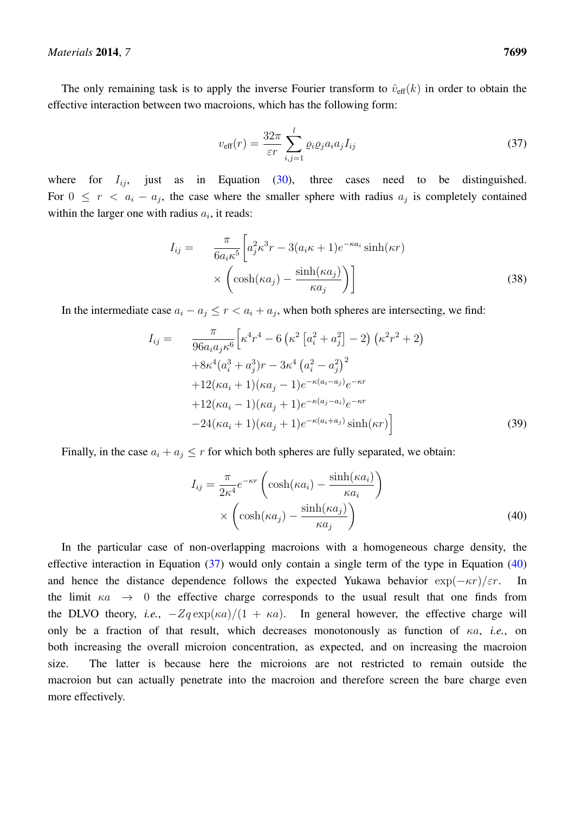The only remaining task is to apply the inverse Fourier transform to  $\hat{v}_{\text{eff}}(k)$  in order to obtain the effective interaction between two macroions, which has the following form:

<span id="page-10-0"></span>
$$
v_{\rm eff}(r) = \frac{32\pi}{\varepsilon r} \sum_{i,j=1}^{l} \varrho_i \varrho_j a_i a_j I_{ij}
$$
\n(37)

where for  $I_{ij}$ , just as in Equation [\(30\)](#page-8-2), three cases need to be distinguished. For  $0 \leq r \leq a_i - a_j$ , the case where the smaller sphere with radius  $a_j$  is completely contained within the larger one with radius  $a_i$ , it reads:

$$
I_{ij} = \frac{\pi}{6a_i\kappa^5} \left[ a_j^2 \kappa^3 r - 3(a_i\kappa + 1)e^{-\kappa a_i} \sinh(\kappa r) \times \left( \cosh(\kappa a_j) - \frac{\sinh(\kappa a_j)}{\kappa a_j} \right) \right]
$$
(38)

In the intermediate case  $a_i - a_j \le r < a_i + a_j$ , when both spheres are intersecting, we find:

$$
I_{ij} = \frac{\pi}{96a_i a_j \kappa^6} \left[ \kappa^4 r^4 - 6 \left( \kappa^2 \left[ a_i^2 + a_j^2 \right] - 2 \right) \left( \kappa^2 r^2 + 2 \right) \right.
$$
  
\n
$$
+ 8 \kappa^4 (a_i^3 + a_j^3) r - 3 \kappa^4 \left( a_i^2 - a_j^2 \right)^2
$$
  
\n
$$
+ 12(\kappa a_i + 1)(\kappa a_j - 1) e^{-\kappa (a_i - a_j)} e^{-\kappa r}
$$
  
\n
$$
+ 12(\kappa a_i - 1)(\kappa a_j + 1) e^{-\kappa (a_j - a_i)} e^{-\kappa r}
$$
  
\n
$$
-24(\kappa a_i + 1)(\kappa a_j + 1) e^{-\kappa (a_i + a_j)} \sinh(\kappa r)
$$
\n(39)

Finally, in the case  $a_i + a_j \leq r$  for which both spheres are fully separated, we obtain:

<span id="page-10-1"></span>
$$
I_{ij} = \frac{\pi}{2\kappa^4} e^{-\kappa r} \left( \cosh(\kappa a_i) - \frac{\sinh(\kappa a_i)}{\kappa a_i} \right)
$$

$$
\times \left( \cosh(\kappa a_j) - \frac{\sinh(\kappa a_j)}{\kappa a_j} \right)
$$
(40)

In the particular case of non-overlapping macroions with a homogeneous charge density, the effective interaction in Equation  $(37)$  would only contain a single term of the type in Equation  $(40)$ and hence the distance dependence follows the expected Yukawa behavior  $\exp(-\kappa r)/\varepsilon r$ . In the limit  $\kappa a \rightarrow 0$  the effective charge corresponds to the usual result that one finds from the DLVO theory, *i.e.*,  $-Zq \exp(\kappa a)/(1 + \kappa a)$ . In general however, the effective charge will only be a fraction of that result, which decreases monotonously as function of κa, *i.e.*, on both increasing the overall microion concentration, as expected, and on increasing the macroion size. The latter is because here the microions are not restricted to remain outside the macroion but can actually penetrate into the macroion and therefore screen the bare charge even more effectively.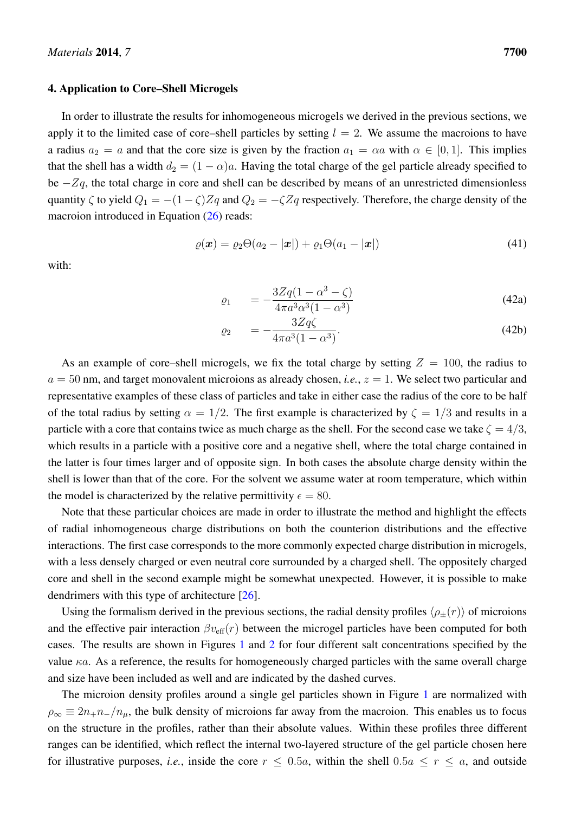### <span id="page-11-0"></span>4. Application to Core–Shell Microgels

In order to illustrate the results for inhomogeneous microgels we derived in the previous sections, we apply it to the limited case of core–shell particles by setting  $l = 2$ . We assume the macroions to have a radius  $a_2 = a$  and that the core size is given by the fraction  $a_1 = \alpha a$  with  $\alpha \in [0, 1]$ . This implies that the shell has a width  $d_2 = (1 - \alpha)a$ . Having the total charge of the gel particle already specified to be  $-Zq$ , the total charge in core and shell can be described by means of an unrestricted dimensionless quantity  $\zeta$  to yield  $Q_1 = -(1 - \zeta)Zq$  and  $Q_2 = -\zeta Zq$  respectively. Therefore, the charge density of the macroion introduced in Equation [\(26\)](#page-8-3) reads:

$$
\varrho(\boldsymbol{x}) = \varrho_2 \Theta(a_2 - |\boldsymbol{x}|) + \varrho_1 \Theta(a_1 - |\boldsymbol{x}|) \tag{41}
$$

with:

$$
\varrho_1 = -\frac{3Zq(1-\alpha^3-\zeta)}{4\pi a^3 \alpha^3 (1-\alpha^3)}\tag{42a}
$$

$$
\varrho_2 = -\frac{3Zq\zeta}{4\pi a^3(1-\alpha^3)}.\tag{42b}
$$

As an example of core–shell microgels, we fix the total charge by setting  $Z = 100$ , the radius to  $a = 50$  nm, and target monovalent microions as already chosen, *i.e.*,  $z = 1$ . We select two particular and representative examples of these class of particles and take in either case the radius of the core to be half of the total radius by setting  $\alpha = 1/2$ . The first example is characterized by  $\zeta = 1/3$  and results in a particle with a core that contains twice as much charge as the shell. For the second case we take  $\zeta = 4/3$ , which results in a particle with a positive core and a negative shell, where the total charge contained in the latter is four times larger and of opposite sign. In both cases the absolute charge density within the shell is lower than that of the core. For the solvent we assume water at room temperature, which within the model is characterized by the relative permittivity  $\epsilon = 80$ .

Note that these particular choices are made in order to illustrate the method and highlight the effects of radial inhomogeneous charge distributions on both the counterion distributions and the effective interactions. The first case corresponds to the more commonly expected charge distribution in microgels, with a less densely charged or even neutral core surrounded by a charged shell. The oppositely charged core and shell in the second example might be somewhat unexpected. However, it is possible to make dendrimers with this type of architecture [\[26\]](#page-16-11).

Using the formalism derived in the previous sections, the radial density profiles  $\langle \rho_{\pm}(r) \rangle$  of microions and the effective pair interaction  $\beta v_{\text{eff}}(r)$  between the microgel particles have been computed for both cases. The results are shown in Figures [1](#page-12-0) and [2](#page-13-0) for four different salt concentrations specified by the value  $\kappa a$ . As a reference, the results for homogeneously charged particles with the same overall charge and size have been included as well and are indicated by the dashed curves.

The microion density profiles around a single gel particles shown in Figure [1](#page-12-0) are normalized with  $\rho_{\infty} \equiv 2n_{+}n_{-}/n_{\mu}$ , the bulk density of microions far away from the macroion. This enables us to focus on the structure in the profiles, rather than their absolute values. Within these profiles three different ranges can be identified, which reflect the internal two-layered structure of the gel particle chosen here for illustrative purposes, *i.e.*, inside the core  $r \leq 0.5a$ , within the shell  $0.5a \leq r \leq a$ , and outside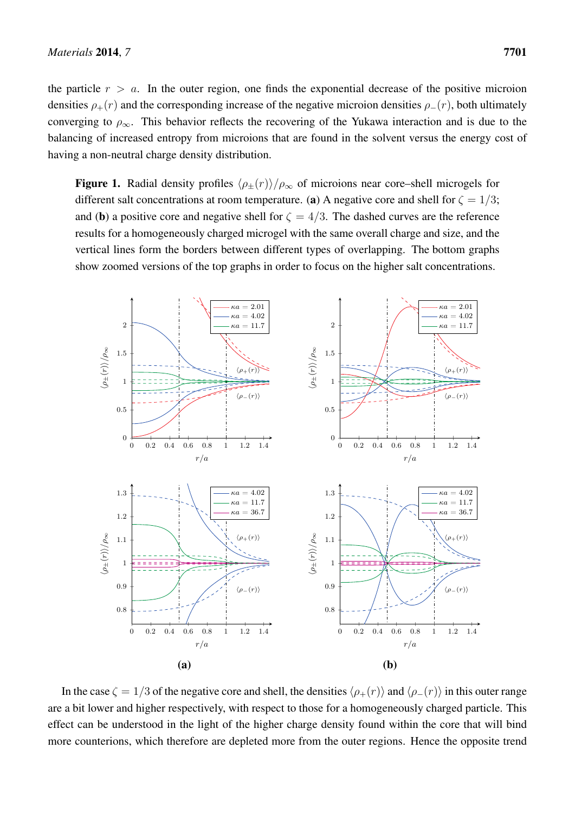the particle  $r > a$ . In the outer region, one finds the exponential decrease of the positive microion densities  $\rho_{+}(r)$  and the corresponding increase of the negative microion densities  $\rho_{-}(r)$ , both ultimately converging to  $\rho_{\infty}$ . This behavior reflects the recovering of the Yukawa interaction and is due to the balancing of increased entropy from microions that are found in the solvent versus the energy cost of having a non-neutral charge density distribution.

<span id="page-12-0"></span>Figure 1. Radial density profiles  $\langle \rho_{\pm}(r)\rangle/\rho_{\infty}$  of microions near core–shell microgels for different salt concentrations at room temperature. (a) A negative core and shell for  $\zeta = 1/3$ ; and (b) a positive core and negative shell for  $\zeta = 4/3$ . The dashed curves are the reference results for a homogeneously charged microgel with the same overall charge and size, and the vertical lines form the borders between different types of overlapping. The bottom graphs show zoomed versions of the top graphs in order to focus on the higher salt concentrations.



In the case  $\zeta = 1/3$  of the negative core and shell, the densities  $\langle \rho_+(r) \rangle$  and  $\langle \rho_-(r) \rangle$  in this outer range are a bit lower and higher respectively, with respect to those for a homogeneously charged particle. This effect can be understood in the light of the higher charge density found within the core that will bind more counterions, which therefore are depleted more from the outer regions. Hence the opposite trend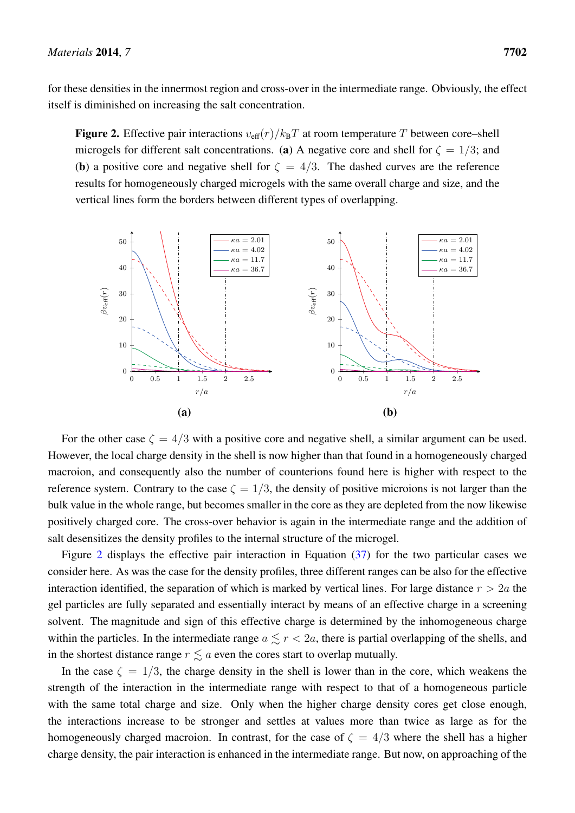for these densities in the innermost region and cross-over in the intermediate range. Obviously, the effect itself is diminished on increasing the salt concentration.

<span id="page-13-0"></span>Figure 2. Effective pair interactions  $v_{\text{eff}}(r)/k_BT$  at room temperature T between core–shell microgels for different salt concentrations. (a) A negative core and shell for  $\zeta = 1/3$ ; and (b) a positive core and negative shell for  $\zeta = 4/3$ . The dashed curves are the reference results for homogeneously charged microgels with the same overall charge and size, and the vertical lines form the borders between different types of overlapping.



For the other case  $\zeta = 4/3$  with a positive core and negative shell, a similar argument can be used. However, the local charge density in the shell is now higher than that found in a homogeneously charged macroion, and consequently also the number of counterions found here is higher with respect to the reference system. Contrary to the case  $\zeta = 1/3$ , the density of positive microions is not larger than the bulk value in the whole range, but becomes smaller in the core as they are depleted from the now likewise positively charged core. The cross-over behavior is again in the intermediate range and the addition of salt desensitizes the density profiles to the internal structure of the microgel.

Figure [2](#page-13-0) displays the effective pair interaction in Equation [\(37\)](#page-10-0) for the two particular cases we consider here. As was the case for the density profiles, three different ranges can be also for the effective interaction identified, the separation of which is marked by vertical lines. For large distance  $r > 2a$  the gel particles are fully separated and essentially interact by means of an effective charge in a screening solvent. The magnitude and sign of this effective charge is determined by the inhomogeneous charge within the particles. In the intermediate range  $a \le r < 2a$ , there is partial overlapping of the shells, and in the shortest distance range  $r \leq a$  even the cores start to overlap mutually.

In the case  $\zeta = 1/3$ , the charge density in the shell is lower than in the core, which weakens the strength of the interaction in the intermediate range with respect to that of a homogeneous particle with the same total charge and size. Only when the higher charge density cores get close enough, the interactions increase to be stronger and settles at values more than twice as large as for the homogeneously charged macroion. In contrast, for the case of  $\zeta = 4/3$  where the shell has a higher charge density, the pair interaction is enhanced in the intermediate range. But now, on approaching of the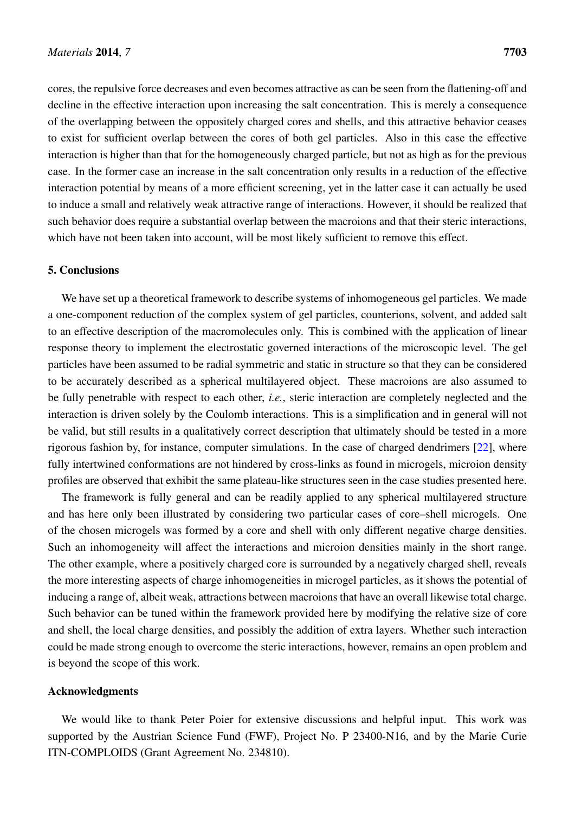cores, the repulsive force decreases and even becomes attractive as can be seen from the flattening-off and decline in the effective interaction upon increasing the salt concentration. This is merely a consequence of the overlapping between the oppositely charged cores and shells, and this attractive behavior ceases to exist for sufficient overlap between the cores of both gel particles. Also in this case the effective interaction is higher than that for the homogeneously charged particle, but not as high as for the previous case. In the former case an increase in the salt concentration only results in a reduction of the effective interaction potential by means of a more efficient screening, yet in the latter case it can actually be used to induce a small and relatively weak attractive range of interactions. However, it should be realized that such behavior does require a substantial overlap between the macroions and that their steric interactions, which have not been taken into account, will be most likely sufficient to remove this effect.

# <span id="page-14-0"></span>5. Conclusions

We have set up a theoretical framework to describe systems of inhomogeneous gel particles. We made a one-component reduction of the complex system of gel particles, counterions, solvent, and added salt to an effective description of the macromolecules only. This is combined with the application of linear response theory to implement the electrostatic governed interactions of the microscopic level. The gel particles have been assumed to be radial symmetric and static in structure so that they can be considered to be accurately described as a spherical multilayered object. These macroions are also assumed to be fully penetrable with respect to each other, *i.e.*, steric interaction are completely neglected and the interaction is driven solely by the Coulomb interactions. This is a simplification and in general will not be valid, but still results in a qualitatively correct description that ultimately should be tested in a more rigorous fashion by, for instance, computer simulations. In the case of charged dendrimers [\[22\]](#page-16-7), where fully intertwined conformations are not hindered by cross-links as found in microgels, microion density profiles are observed that exhibit the same plateau-like structures seen in the case studies presented here.

The framework is fully general and can be readily applied to any spherical multilayered structure and has here only been illustrated by considering two particular cases of core–shell microgels. One of the chosen microgels was formed by a core and shell with only different negative charge densities. Such an inhomogeneity will affect the interactions and microion densities mainly in the short range. The other example, where a positively charged core is surrounded by a negatively charged shell, reveals the more interesting aspects of charge inhomogeneities in microgel particles, as it shows the potential of inducing a range of, albeit weak, attractions between macroions that have an overall likewise total charge. Such behavior can be tuned within the framework provided here by modifying the relative size of core and shell, the local charge densities, and possibly the addition of extra layers. Whether such interaction could be made strong enough to overcome the steric interactions, however, remains an open problem and is beyond the scope of this work.

#### Acknowledgments

We would like to thank Peter Poier for extensive discussions and helpful input. This work was supported by the Austrian Science Fund (FWF), Project No. P 23400-N16, and by the Marie Curie ITN-COMPLOIDS (Grant Agreement No. 234810).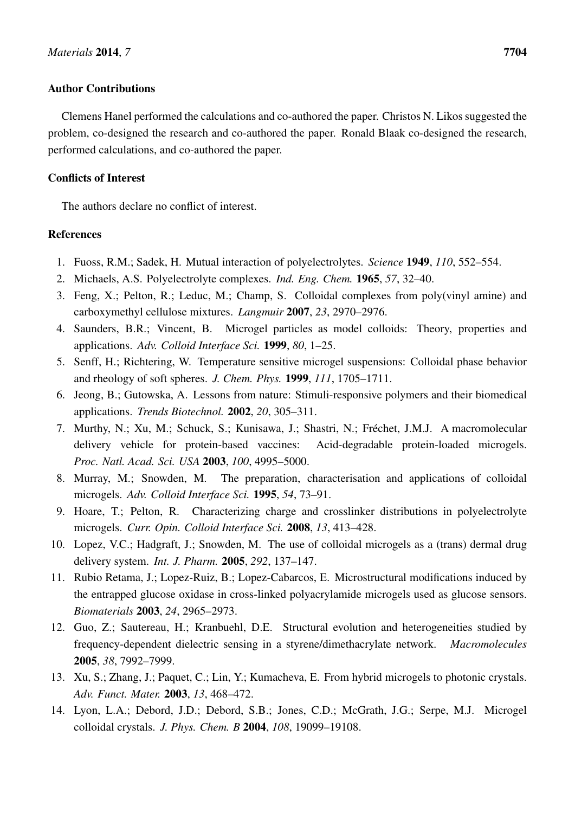### Author Contributions

Clemens Hanel performed the calculations and co-authored the paper. Christos N. Likos suggested the problem, co-designed the research and co-authored the paper. Ronald Blaak co-designed the research, performed calculations, and co-authored the paper.

# Conflicts of Interest

The authors declare no conflict of interest.

## References

- <span id="page-15-0"></span>1. Fuoss, R.M.; Sadek, H. Mutual interaction of polyelectrolytes. *Science* 1949, *110*, 552–554.
- 2. Michaels, A.S. Polyelectrolyte complexes. *Ind. Eng. Chem.* 1965, *57*, 32–40.
- <span id="page-15-1"></span>3. Feng, X.; Pelton, R.; Leduc, M.; Champ, S. Colloidal complexes from poly(vinyl amine) and carboxymethyl cellulose mixtures. *Langmuir* 2007, *23*, 2970–2976.
- <span id="page-15-2"></span>4. Saunders, B.R.; Vincent, B. Microgel particles as model colloids: Theory, properties and applications. *Adv. Colloid Interface Sci.* 1999, *80*, 1–25.
- <span id="page-15-3"></span>5. Senff, H.; Richtering, W. Temperature sensitive microgel suspensions: Colloidal phase behavior and rheology of soft spheres. *J. Chem. Phys.* 1999, *111*, 1705–1711.
- <span id="page-15-4"></span>6. Jeong, B.; Gutowska, A. Lessons from nature: Stimuli-responsive polymers and their biomedical applications. *Trends Biotechnol.* 2002, *20*, 305–311.
- <span id="page-15-6"></span>7. Murthy, N.; Xu, M.; Schuck, S.; Kunisawa, J.; Shastri, N.; Fréchet, J.M.J. A macromolecular delivery vehicle for protein-based vaccines: Acid-degradable protein-loaded microgels. *Proc. Natl. Acad. Sci. USA* 2003, *100*, 4995–5000.
- 8. Murray, M.; Snowden, M. The preparation, characterisation and applications of colloidal microgels. *Adv. Colloid Interface Sci.* 1995, *54*, 73–91.
- <span id="page-15-5"></span>9. Hoare, T.; Pelton, R. Characterizing charge and crosslinker distributions in polyelectrolyte microgels. *Curr. Opin. Colloid Interface Sci.* 2008, *13*, 413–428.
- <span id="page-15-7"></span>10. Lopez, V.C.; Hadgraft, J.; Snowden, M. The use of colloidal microgels as a (trans) dermal drug delivery system. *Int. J. Pharm.* 2005, *292*, 137–147.
- <span id="page-15-8"></span>11. Rubio Retama, J.; Lopez-Ruiz, B.; Lopez-Cabarcos, E. Microstructural modifications induced by the entrapped glucose oxidase in cross-linked polyacrylamide microgels used as glucose sensors. *Biomaterials* 2003, *24*, 2965–2973.
- <span id="page-15-9"></span>12. Guo, Z.; Sautereau, H.; Kranbuehl, D.E. Structural evolution and heterogeneities studied by frequency-dependent dielectric sensing in a styrene/dimethacrylate network. *Macromolecules* 2005, *38*, 7992–7999.
- <span id="page-15-10"></span>13. Xu, S.; Zhang, J.; Paquet, C.; Lin, Y.; Kumacheva, E. From hybrid microgels to photonic crystals. *Adv. Funct. Mater.* 2003, *13*, 468–472.
- <span id="page-15-11"></span>14. Lyon, L.A.; Debord, J.D.; Debord, S.B.; Jones, C.D.; McGrath, J.G.; Serpe, M.J. Microgel colloidal crystals. *J. Phys. Chem. B* 2004, *108*, 19099–19108.